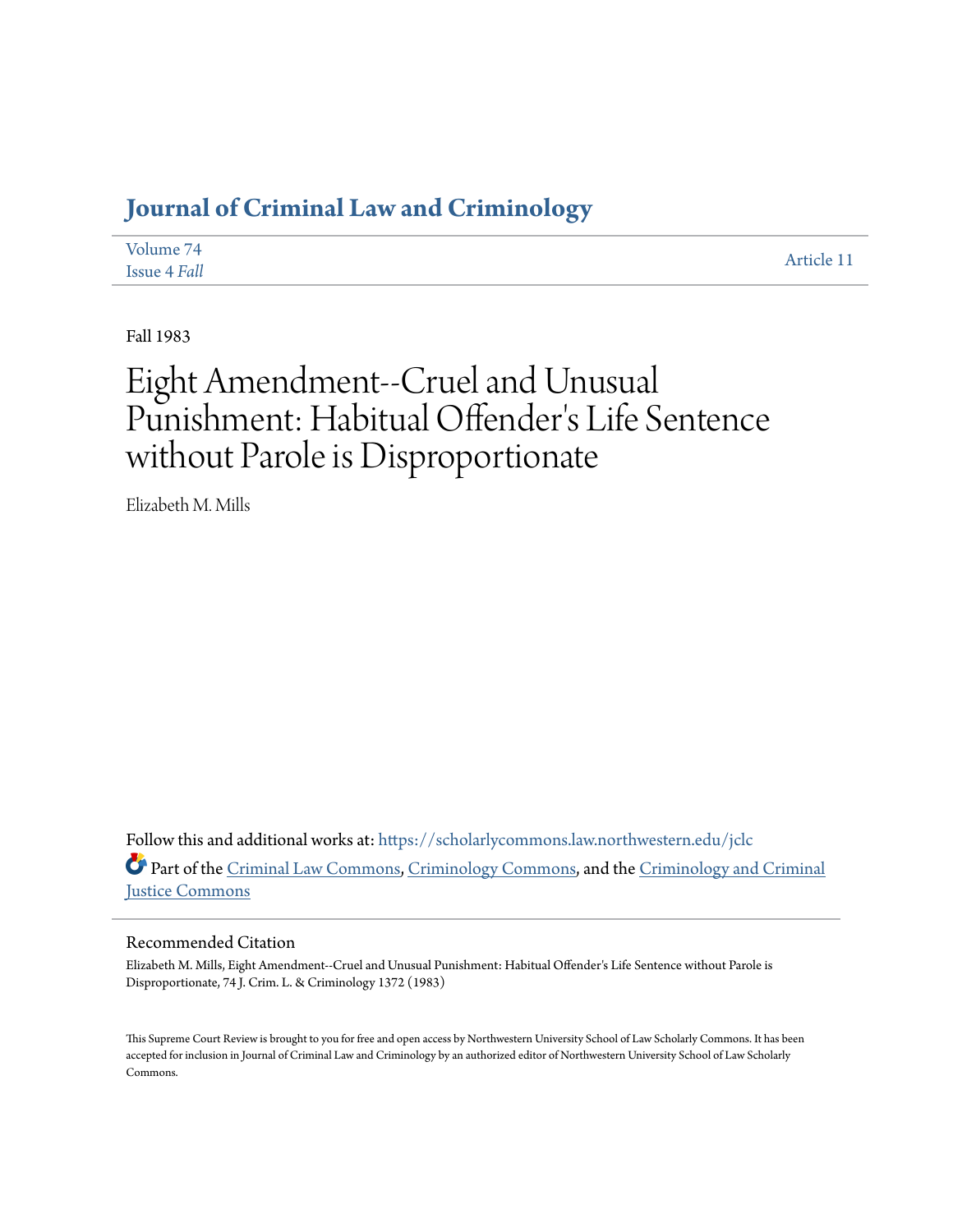# **[Journal of Criminal Law and Criminology](https://scholarlycommons.law.northwestern.edu/jclc?utm_source=scholarlycommons.law.northwestern.edu%2Fjclc%2Fvol74%2Fiss4%2F11&utm_medium=PDF&utm_campaign=PDFCoverPages)**

| Volume 74    | Article 11 |
|--------------|------------|
| Issue 4 Fall |            |

Fall 1983

# Eight Amendment--Cruel and Unusual Punishment: Habitual Offender 's Life Sentence without Parole is Disproportionate

Elizabeth M. Mills

Follow this and additional works at: [https://scholarlycommons.law.northwestern.edu/jclc](https://scholarlycommons.law.northwestern.edu/jclc?utm_source=scholarlycommons.law.northwestern.edu%2Fjclc%2Fvol74%2Fiss4%2F11&utm_medium=PDF&utm_campaign=PDFCoverPages) Part of the [Criminal Law Commons](http://network.bepress.com/hgg/discipline/912?utm_source=scholarlycommons.law.northwestern.edu%2Fjclc%2Fvol74%2Fiss4%2F11&utm_medium=PDF&utm_campaign=PDFCoverPages), [Criminology Commons](http://network.bepress.com/hgg/discipline/417?utm_source=scholarlycommons.law.northwestern.edu%2Fjclc%2Fvol74%2Fiss4%2F11&utm_medium=PDF&utm_campaign=PDFCoverPages), and the [Criminology and Criminal](http://network.bepress.com/hgg/discipline/367?utm_source=scholarlycommons.law.northwestern.edu%2Fjclc%2Fvol74%2Fiss4%2F11&utm_medium=PDF&utm_campaign=PDFCoverPages) [Justice Commons](http://network.bepress.com/hgg/discipline/367?utm_source=scholarlycommons.law.northwestern.edu%2Fjclc%2Fvol74%2Fiss4%2F11&utm_medium=PDF&utm_campaign=PDFCoverPages)

## Recommended Citation

Elizabeth M. Mills, Eight Amendment--Cruel and Unusual Punishment: Habitual Offender's Life Sentence without Parole is Disproportionate, 74 J. Crim. L. & Criminology 1372 (1983)

This Supreme Court Review is brought to you for free and open access by Northwestern University School of Law Scholarly Commons. It has been accepted for inclusion in Journal of Criminal Law and Criminology by an authorized editor of Northwestern University School of Law Scholarly Commons.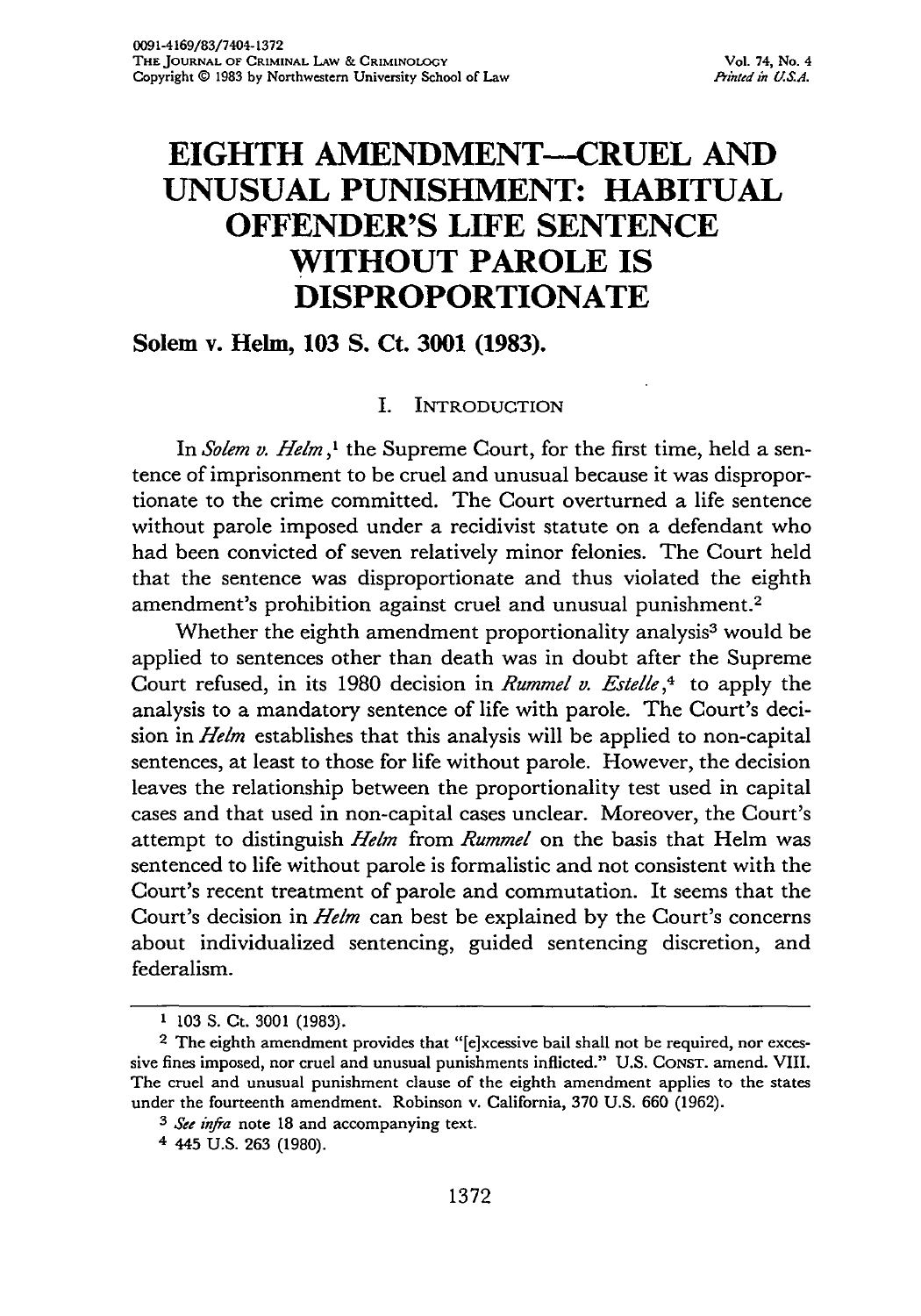## **EIGHTH AMENDMENT--CRUEL AND UNUSUAL PUNISHMENT: HABITUAL OFFENDER'S LIFE SENTENCE WITHOUT PAROLE IS DISPROPORTIONATE**

### **Solem** v. **Helm, 103 S. Ct. 3001 (1983).**

#### I. INTRODUCTION

In *Solem v. Helm,'* the Supreme Court, for the first time, held a sentence of imprisonment to be cruel and unusual because it was disproportionate to the crime committed. The Court overturned a life sentence without parole imposed under a recidivist statute on a defendant who had been convicted of seven relatively minor felonies. The Court held that the sentence was disproportionate and thus violated the eighth amendment's prohibition against cruel and unusual punishment. <sup>2</sup>

Whether the eighth amendment proportionality analysis<sup>3</sup> would be applied to sentences other than death was in doubt after the Supreme Court refused, in its 1980 decision in *Rummel v. Estelle , <sup>4</sup>*to apply the analysis to a mandatory sentence of life with parole. The Court's decision in *Helm* establishes that this analysis will be applied to non-capital sentences, at least to those for life without parole. However, the decision leaves the relationship between the proportionality test used in capital cases and that used in non-capital cases unclear. Moreover, the Court's attempt to distinguish *Helm* from *Rummel* on the basis that Helm was sentenced to life without parole is formalistic and not consistent with the Court's recent treatment of parole and commutation. It seems that the Court's decision in *Helm* can best be explained by the Court's concerns about individualized sentencing, guided sentencing discretion, and federalism.

**<sup>1</sup>** 103 S. Ct. 3001 (1983).

<sup>&</sup>lt;sup>2</sup> The eighth amendment provides that "[e]xcessive bail shall not be required, nor excessive fines imposed, nor cruel and unusual punishments inflicted." U.S. CONsT. amend. VIII. The cruel and unusual punishment clause of the eighth amendment applies to the states under the fourteenth amendment. Robinson v. California, 370 U.S. 660 (1962).

*<sup>3</sup> See infra* note 18 and accompanying text.

<sup>4 445</sup> U.S. **263** (1980).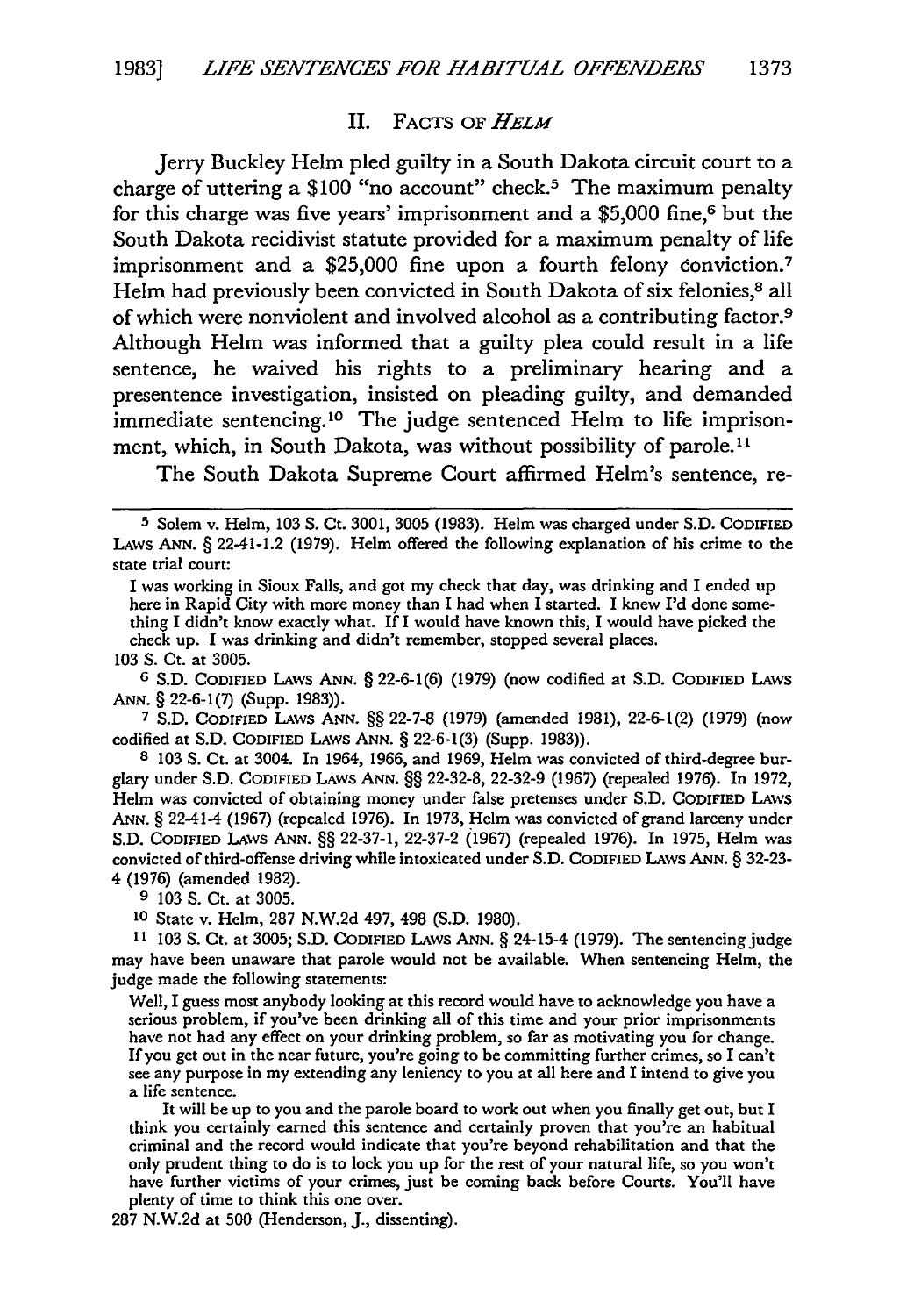#### II. FACTS OF *HELM*

Jerry Buckley Helm pled guilty in a South Dakota circuit court to a charge of uttering a \$100 "no account" check.<sup>5</sup> The maximum penalty for this charge was five years' imprisonment and a \$5,000 fine,6 but the South Dakota recidivist statute provided for a maximum penalty of life imprisonment and a \$25,000 fine upon a fourth felony conviction.<sup>7</sup> Helm had previously been convicted in South Dakota of six felonies,<sup>8</sup> all of which were nonviolent and involved alcohol as a contributing factor.9 Although Helm was informed that a guilty plea could result in a life sentence, he waived his rights to a preliminary hearing and a presentence investigation, insisted on pleading guilty, and demanded immediate sentencing.<sup>10</sup> The judge sentenced Helm to life imprisonment, which, in South Dakota, was without possibility of parole.<sup>11</sup>

The South Dakota Supreme Court affirmed Helm's sentence, re-

**103 S.** Ct. at **3005.** <sup>6</sup>**S.D.** CODIFIED LAWS ANN. § 22-6-1(6) (1979) (now codified at S.D. CODIFIED LAWS ANN. § 22-6-1(7) (Supp. 1983)).

7 S.D. CODIFIED LAWS ANN. §§ 22-7-8 (1979) (amended 1981), 22-6-1(2) (1979) (now codified at S.D. CODIFIED LAWS ANN. § 22-6-1(3) (Supp. 1983)).

8 103 S. Ct. at 3004. In 1964, 1966, and 1969, Helm was convicted of third-degree burglary under S.D. CODIFIED LAWS ANN. §§ 22-32-8, 22-32-9 (1967) (repealed 1976). In 1972, Helm was convicted of obtaining money under false pretenses under S.D. CODIFIED LAWS ANN. § 22-41-4 (1967) (repealed 1976). In 1973, Helm was convicted of grand larceny under S.D. CODIFIED LAWS ANN. §§ 22-37-1, 22-37-2 (1967) (repealed 1976). In 1975, Helm was convicted of third-offense driving while intoxicated under S.D. CODIFIED LAvs ANN. § 32-23- 4 (1976) (amended 1982).

9 103 **S.** Ct. at 3005.

**10** State v. Helm, 287 N.W.2d 497, 498 (S.D. 1980).

**<sup>11</sup>**103 **S.** Ct. at 3005; S.D. CODIFIED LAWS ANN. § 24-15-4 (1979). The sentencing judge may have been unaware that parole would not be available. When sentencing Helm, the judge made the following statements:

Well, I guess most anybody looking at this record would have to acknowledge you have a serious problem, if you've been drinking all of this time and your prior imprisonments have not had any effect on your drinking problem, so far as motivating you for change. **If** you get out in the near future, you're going to be committing further crimes, so I can't see any purpose in my extending any leniency to you at all here and **I** intend to give you a life sentence.

It will **be** up to you and the parole board to work out when you finally get out, but I think you certainly earned this sentence and certainly proven that you're an habitual criminal and the record would indicate that you're beyond rehabilitation and that the only prudent thing to do is to lock you up for the rest of your natural life, so you won't have further victims of your crimes, just be coming back before Courts. You'll have plenty of time to think this one over.

**287 N.W.2d** at **500** (Henderson, **J.,** dissenting).

**<sup>5</sup>** Solem v. Helm, 103 S. Ct. 3001, 3005 (1983). Helm was charged under S.D. CODIFIED LAWS **ANN.** § 22-41-1.2 (1979). Helm offered the following explanation of his crime to the state trial court:

I was working in Sioux Falls, and got my check that day, was drinking and I ended up here in Rapid City with more money than I had when I started. I knew I'd done something I didn't know exactly what. If I would have known this, I would have picked the check up. I was drinking and didn't remember, stopped several places.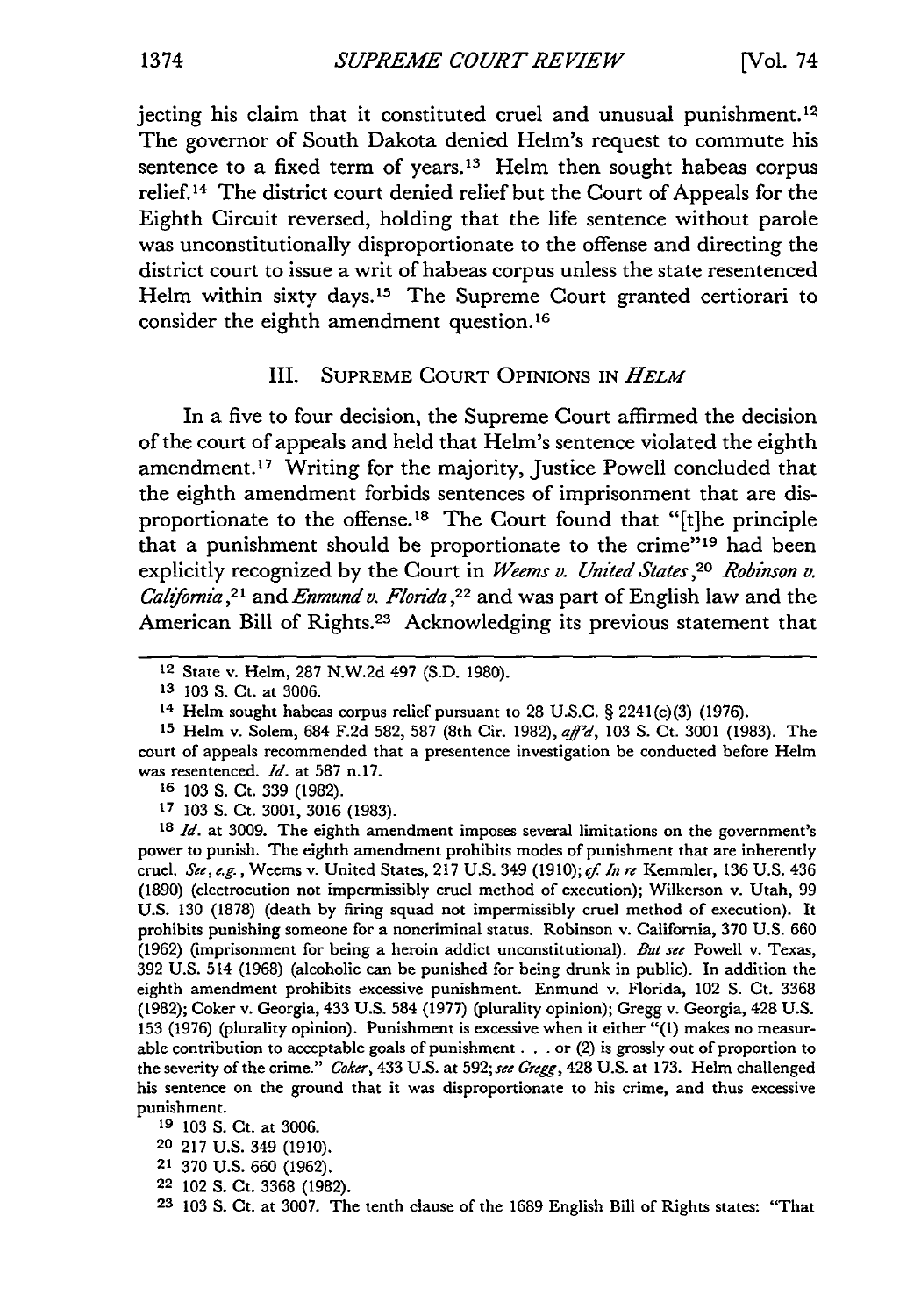jecting his claim that it constituted cruel and unusual punishment. <sup>12</sup> The governor of South Dakota denied Helm's request to commute his sentence to a fixed term of years.<sup>13</sup> Helm then sought habeas corpus relief.14 The district court denied relief but the Court of Appeals for the Eighth Circuit reversed, holding that the life sentence without parole was unconstitutionally disproportionate to the offense and directing the district court to issue a writ of habeas corpus unless the state resentenced Helm within sixty days.<sup>15</sup> The Supreme Court granted certiorari to consider the eighth amendment question. <sup>16</sup>

#### III. SUPREME COURT OPINIONS IN *HELM*

In a five to four decision, the Supreme Court affirmed the decision of the court of appeals and held that Helm's sentence violated the eighth amendment.<sup>17</sup> Writing for the majority, Justice Powell concluded that the eighth amendment forbids sentences of imprisonment that are disproportionate to the offense.<sup>18</sup> The Court found that "[t]he principle that a punishment should be proportionate to the crime"<sup>19</sup> had been explicitly recognized by the Court in *Weems v. United States ,20 Robinson v. California ,21* and *Enmund v. Florida,22* and was part of English law and the American Bill of Rights.<sup>23</sup> Acknowledging its previous statement that

**16** 103 S. Ct. 339 (1982).

**17** 103 **S.** Ct. 3001, 3016 (1983).

**<sup>18</sup>***Id.* at 3009. The eighth amendment imposes several limitations on the government's power to punish. The eighth amendment prohibits modes of punishment that are inherently cruel. See, *e.g.,* Weems v. United States, 217 U.S. 349 (1910); *cf. In re* Kemmler, 136 U.S. 436 (1890) (electrocution not impermissibly cruel method of execution); Wilkerson v. Utah, 99 U.S. 130 (1878) (death by firing squad not impermissibly cruel method of execution). It prohibits punishing someone for a noncriminal status. Robinson v. California, 370 U.S. 660 (1962) (imprisonment for being a heroin addict unconstitutional). *But see* Powell v. Texas, 392 U.S. 514 (1968) (alcoholic can be punished for being drunk in public). In addition the eighth amendment prohibits excessive punishment. Enmund v. Florida, 102 **S.** Ct. 3368 (1982); Coker v. Georgia, 433 U.S. 584 (1977) (plurality opinion); Gregg v. Georgia, 428 U.S. 153 (1976) (plurality opinion). Punishment is excessive when it either "(1) makes no measurable contribution to acceptable goals of punishment. **. .** or (2) is grossly out of proportion to the severity of the crime." *Coker,* 433 U.S. at 592; *see Gregg,* 428 U.S. at 173. Helm challenged his sentence on the ground that it was disproportionate to his crime, and thus excessive punishment.

- 21 370 U.S. 660 (1962).
- 22 102 **S.** Ct. 3368 (1982).
- **23** 103 **S.** Ct. at 3007. The tenth clause of the 1689 English Bill of Rights states: "That

<sup>12</sup> State v. Helm, 287 N.W.2d 497 (S.D. 1980).

**<sup>13</sup>**103 **S.** Ct. at 3006.

<sup>14</sup> Helm sought habeas corpus relief pursuant to 28 U.S.C. § 2241(c)(3) (1976).

**<sup>15</sup>**Helm v. Solem, 684 F.2d 582, 587 (8th Cir. 1982), *afd,* <sup>103</sup>**S.** Ct. 3001 (1983). The court of appeals recommended that a presentence investigation be conducted before Helm was resentenced. *Id.* at 587 n.17.

**<sup>19</sup>** 103 **S.** Ct. at 3006.

**<sup>20</sup>** 217 U.S. 349 (1910).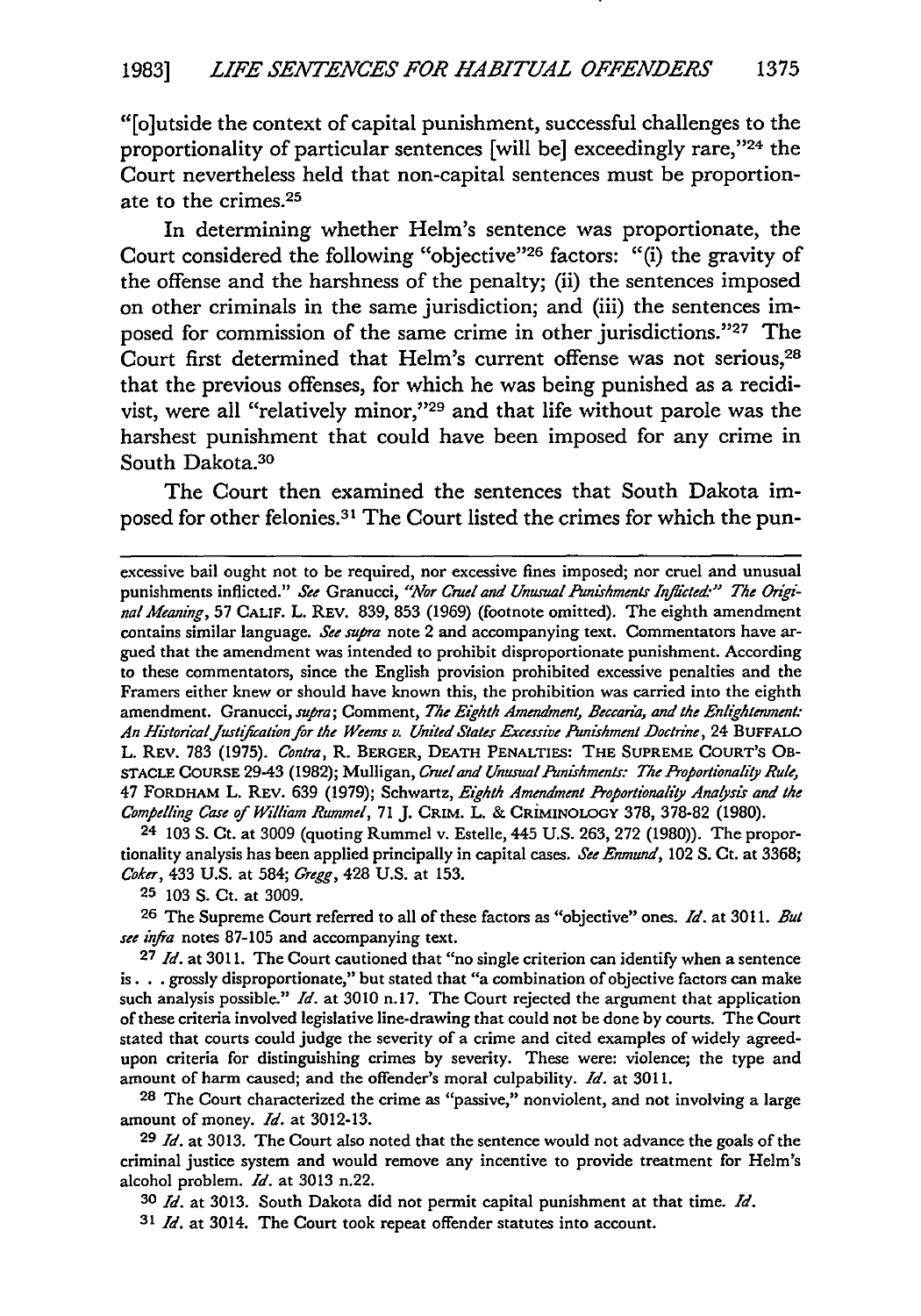"[o]utside the context of capital punishment, successful challenges to the proportionality of particular sentences [will be] exceedingly rare,"24 the Court nevertheless held that non-capital sentences must be proportionate to the crimes.<sup>25</sup>

In determining whether Helm's sentence was proportionate, the Court considered the following "objective"<sup>26</sup> factors: "(i) the gravity of the offense and the harshness of the penalty; (ii) the sentences imposed on other criminals in the same jurisdiction; and (iii) the sentences imposed for commission of the same crime in other jurisdictions."27 The Court first determined that Helm's current offense was not serious,<sup>28</sup> that the previous offenses, for which he was being punished as a recidivist, were all "relatively minor,"29 and that life without parole was the harshest punishment that could have been imposed for any crime in South Dakota.<sup>30</sup>

The Court then examined the sentences that South Dakota imposed for other felonies.<sup>31</sup> The Court listed the crimes for which the pun-

excessive bail ought not to be required, nor excessive fines imposed; nor cruel and unusual punishments inflicted." *See* Granucci, *"Nor Cruel and Unusual Pumishments Infhicted-" The OrginalMeaning,* 57 CALIF. L. REv. 839, 853 (1969) (footnote omitted). The eighth amendment contains similar language. *See supra* note 2 and accompanying text. Commentators have argued that the amendment was intended to prohibit disproportionate punishment. According to these commentators, since the English provision prohibited excessive penalties and the Framers either knew or should have known this, the prohibition was carried into the eighth amendment. Granucci, *supra;* Comment, *The Eighth Amendment, Beccaria, and the Enlghtenment:* An HistodcalJustifcation for the Weems *v.* United States Excessive Punishment Doctrine, 24 **BUFFALO** L. REv. 783 (1975). Contra, R. BERGER, **DEATH** PENALTIES: THE **SUPREME COURT'S** OB-**STACLE COURSE** 29-43 (1982); Mulligan, Cruel and UnusualPunishments: The Proportionaliy Rule, 47 FORDHAM L. **REV.** 639 (1979); Schwartz, Eighth Amendment *Proportionality* Analysis and the *Compelling Case of* William Rummel, 71 J. CRIM. L. & CRIMINOLOGY 378, 378-82 (1980).

24 103 S. Ct. at 3009 (quoting Rummel v. Estelle, 445 U.S. 263, 272 (1980)). The proportionality analysis has been applied principally in capital cases, *See Enmund,* 102 S. Ct. at 3368; *Coker,* 433 U.S. at 584; *Gregg,* 428 U.S. at 153.

**25** 103 **S.** Ct. at 3009.

**26** The Supreme Court referred to all of these factors as "objective" ones. *Id.* at 3011. *But see* infra notes 87-105 and accompanying text.

**27** *Id.* at 3011. The Court cautioned that "no single criterion can identify when a sentence **is. .** . grossly disproportionate," but stated that "a combination of objective factors can make such analysis possible." *Id.* at 3010 n.17. The Court rejected the argument that application of these criteria involved legislative line-drawing that could not be done by courts. The Court stated that courts could judge the severity of a crime and cited examples of widely agreedupon criteria for distinguishing crimes by severity. These were: violence; the type and amount of harm caused; and the offender's moral culpability. *Id.* at 3011.

**28** The Court characterized the crime as "passive," nonviolent, and not involving a large amount of money. *Id.* at 3012-13.

**<sup>29</sup>***Id.* at 3013. The Court also noted that the sentence would not advance the goals of the criminal justice system and would remove any incentive to provide treatment for Helm's alcohol problem. *Id.* at 3013 n.22.

**30** *Id.* at 3013. South Dakota did not permit capital punishment at that time. *Id.*

**31** *Id.* at 3014. The Court took repeat offender statutes into account.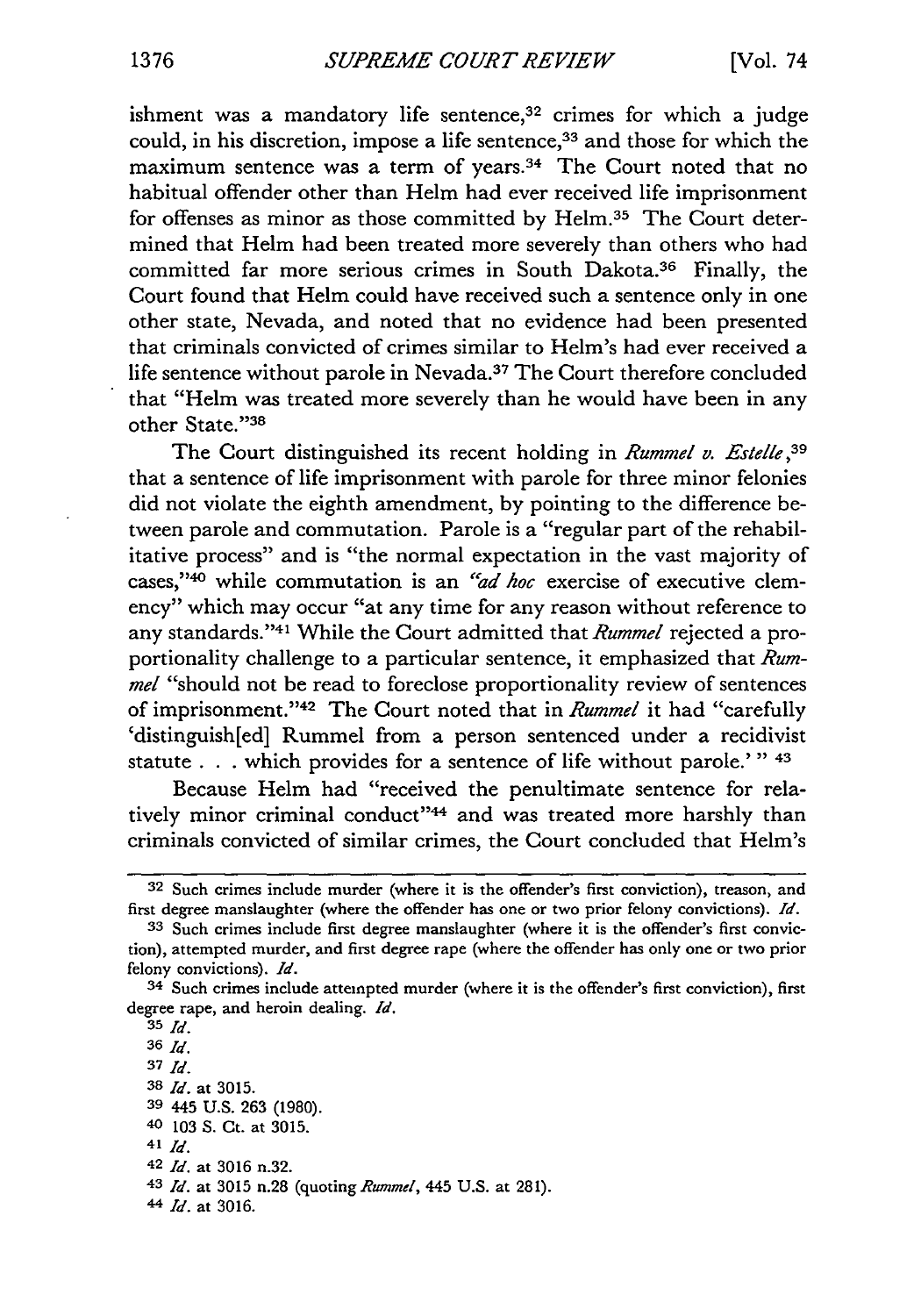ishment was a mandatory life sentence, $32$  crimes for which a judge could, in his discretion, impose a life sentence,<sup>33</sup> and those for which the maximum sentence was a term of years.<sup>34</sup> The Court noted that no habitual offender other than Helm had ever received life imprisonment for offenses as minor as those committed by Helm.<sup>35</sup> The Court determined that Helm had been treated more severely than others who had committed far more serious crimes in South Dakota.<sup>36</sup> Finally, the Court found that Helm could have received such a sentence only in one other state, Nevada, and noted that no evidence had been presented that criminals convicted of crimes similar to Helm's had ever received a life sentence without parole in Nevada.<sup>37</sup> The Court therefore concluded that "Helm was treated more severely than he would have been in any other State."38

The Court distinguished its recent holding in *Rummel v. Estelle,39* that a sentence of life imprisonment with parole for three minor felonies did not violate the eighth amendment, by pointing to the difference between parole and commutation. Parole is a "regular part of the rehabilitative process" and is "the normal expectation in the vast majority of cases,"40 while commutation is an "ad hoc exercise of executive clemency" which may occur "at any time for any reason without reference to any standards."'4 1 While the Court admitted that *Rummel* rejected a proportionality challenge to a particular sentence, it emphasized that *Rummel* "should not be read to foreclose proportionality review of sentences of imprisonment."<sup>42</sup> The Court noted that in *Rummel* it had "carefully 'distinguish[ed] Rummel from a person sentenced under a recidivist statute **. . .** which provides for a sentence of life without parole.'" **<sup>43</sup>**

Because Helm had "received the penultimate sentence for relatively minor criminal conduct"<sup>44</sup> and was treated more harshly than criminals convicted of similar crimes, the Court concluded that Helm's

**<sup>32</sup>** Such crimes include murder (where it is the offender's first conviction), treason, and first degree manslaughter (where the offender has one or two prior felony convictions). *Id.*

**<sup>33</sup>** Such crimes include first degree manslaughter (where it is the offender's first conviction), attempted murder, and first degree rape (where the offender has only one or two prior felony convictions). *Id.*

<sup>34</sup> Such crimes include attempted murder (where it is the offender's first conviction), first degree rape, and heroin dealing. *Id.*

**<sup>35</sup>** *Id.*

**<sup>36</sup>** *Id.*

**<sup>37</sup>** *Id.*

**<sup>38</sup>** *Id.* at 3015.

**<sup>39</sup>** 445 U.S. 263 (1980).

**<sup>40</sup>** 103 S. Ct. at 3015.

<sup>41</sup> *Id.*

<sup>42</sup> *Id.* at 3016 n.32.

<sup>43</sup> *Id.* at 3015 n.28 (quoting *Rummel,* 445 U.S. at 281).

**<sup>44</sup>** *Id.* at 3016.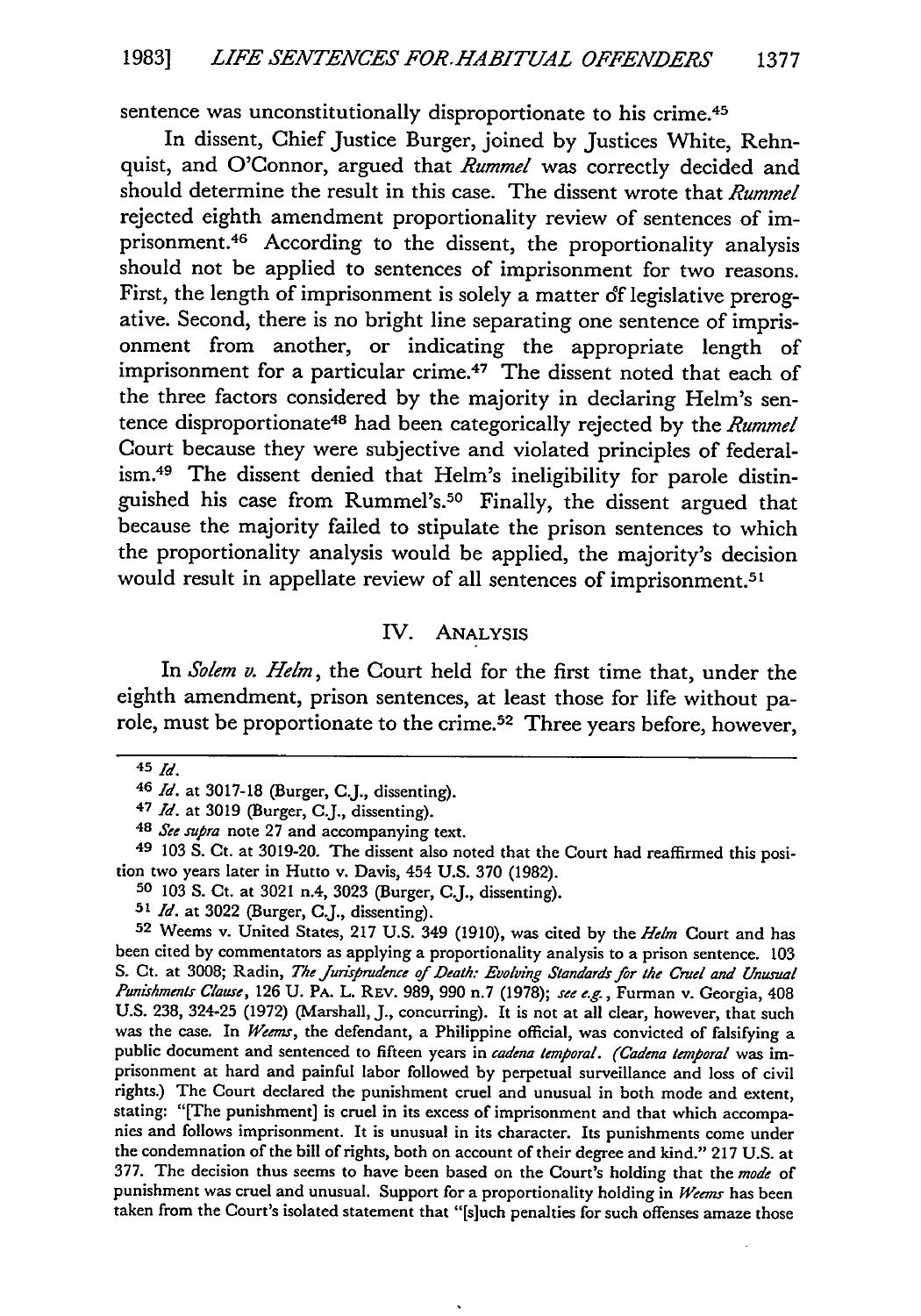sentence was unconstitutionally disproportionate to his crime.<sup>45</sup>

In dissent, Chief Justice Burger, joined by Justices White, Rehnquist, and O'Connor, argued that *Rummel* was correctly decided and should determine the result in this case. The dissent wrote that *Rummel* rejected eighth amendment proportionality review of sentences of imprisonment. 46 According to the dissent, the proportionality analysis should not be applied to sentences of imprisonment for two reasons. First, the length of imprisonment is solely a matter of legislative prerogative. Second, there is no bright line separating one sentence of imprisonment from another, or indicating the appropriate length of imprisonment for a particular crime.<sup>47</sup> The dissent noted that each of the three factors considered by the majority in declaring Helm's sentence disproportionate<sup>48</sup> had been categorically rejected by the *Rummel* Court because they were subjective and violated principles of federalism. 49 The dissent denied that Helm's ineligibility for parole distinguished his case from Rummel's.<sup>50</sup> Finally, the dissent argued that because the majority failed to stipulate the prison sentences to which the proportionality analysis would be applied, the majority's decision would result in appellate review of all sentences of imprisonment.<sup>51</sup>

#### IV. ANALYSIS

In *Solem v. Helm*, the Court held for the first time that, under the eighth amendment, prison sentences, at least those for life without parole, must be proportionate to the crime.52 Three years before, however,

49 103 S. Ct. at 3019-20. The dissent also noted that the Court had reaffirmed this position two years later in Hutto v. Davis, 454 U.S. 370 (1982).

**<sup>52</sup>**Weems v. United States, 217 U.S. 349 (1910), was cited by the *Helm* Court and has been cited by commentators as applying a proportionality analysis to a prison sentence. 103 S. Ct. at 3008; Radin, *The Jurisprudence of Death: Evolving Standards for the Cruel and Unusual Punishments Clause,* 126 U. PA. L. REv. 989, 990 n.7 (1978); *see e.g.,* Furman v. Georgia, 408 U.S. 238, 324-25 (1972) (Marshall, J., concurring). It is not at all clear, however, that such was the case. In *Weems,* the defendant, a Philippine official, was convicted of falsifying a public document and sentenced to fifteen years in *cadena temporal. (Cadena temporal* was imprisonment at hard and painful labor followed by perpetual surveillance and loss of civil rights.) The Court declared the punishment cruel and unusual in both mode and extent, stating: "[The punishment] is cruel in its excess of imprisonment and that which accompanies and follows imprisonment. It is unusual in its character. Its punishments come under the condemnation of the bill of rights, both on account of their degree and kind." 217 U.S. at 377. The decision thus seems to have been based on the Court's holding that the *mode* of punishment was cruel and unusual. Support for a proportionality holding in *Weems* has been taken from the Court's isolated statement that "[s]uch penalties for such offenses amaze those

<sup>45</sup> *Id.*

<sup>46</sup> *Id.* at 3017-18 (Burger, CJ., dissenting).

<sup>47</sup> *Id.* at 3019 (Burger, CJ., dissenting).

*<sup>48</sup> See* supra note 27 and accompanying text.

**<sup>50</sup>** 103 **S.** Ct. at 3021 n.4, 3023 (Burger, CJ., dissenting).

**<sup>51</sup>***Id.* at 3022 (Burger, **C.J.,** dissenting).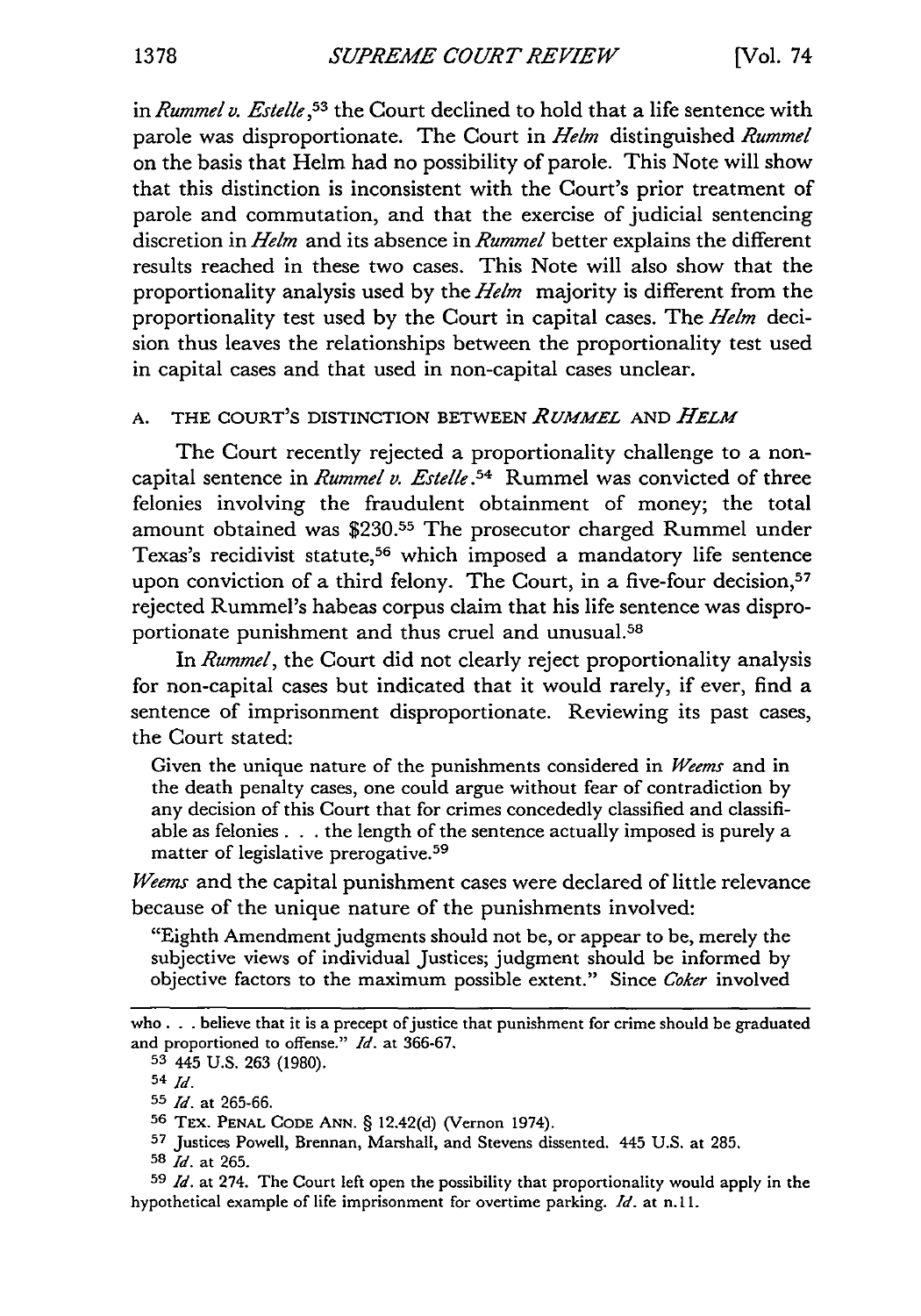in *Rummel v. Estelle*,<sup>53</sup> the Court declined to hold that a life sentence with parole was disproportionate. The Court in *Helm* distinguished *Rummel* on the basis that Helm had no possibility of parole. This Note will show that this distinction is inconsistent with the Court's prior treatment of parole and commutation, and that the exercise of judicial sentencing discretion in *Helm* and its absence in *Rummel* better explains the different results reached in these two cases. This Note will also show that the proportionality analysis used by the *Helm* majority is different from the proportionality test used by the Court in capital cases. The *Helm* decision thus leaves the relationships between the proportionality test used in capital cases and that used in non-capital cases unclear.

#### A. THE COURT'S DISTINCTION BETWEEN *RUMMEL* AND *HELM*

The Court recently rejected a proportionality challenge to a noncapital sentence in *Rummel v. Estelle*.<sup>54</sup> Rummel was convicted of three felonies involving the fraudulent obtainment of money; the total amount obtained was **\$230.55** The prosecutor charged Rummel under Texas's recidivist statute,<sup>56</sup> which imposed a mandatory life sentence upon conviction of a third felony. The Court, in a five-four decision,<sup>57</sup> rejected Rummel's habeas corpus claim that his life sentence was disproportionate punishment and thus cruel and unusual.58

In *Rummel,* the Court did not clearly reject proportionality analysis for non-capital cases but indicated that it would rarely, if ever, find a sentence of imprisonment disproportionate. Reviewing its past cases, the Court stated:

Given the unique nature of the punishments considered in *Weems* and in the death penalty cases, one could argue without fear of contradiction by any decision of this Court that for crimes concededly classified and classifiable as felonies **...** the length of the sentence actually imposed is purely a matter of legislative prerogative. <sup>59</sup>

*Weems* and the capital punishment cases were declared of little relevance because of the unique nature of the punishments involved:

"Eighth Amendment judgments should not be, or appear to be, merely the subjective views of individual Justices; judgment should be informed by objective factors to the maximum possible extent." Since *Coker* involved

**<sup>53</sup>**445 U.S. 263 (1980).

who **...** believe that it is a precept of justice that punishment for crime should be graduated and proportioned to offense." *Id.* at 366-67.

<sup>54</sup> *Id.*

**<sup>55</sup>** *Id.* at 265-66.

**<sup>56</sup>** TEx. PENAL CODE ANN. § 12.42(d) (Vernon 1974).

**<sup>57</sup>**Justices Powell, Brennan, Marshall, and Stevens dissented. 445 U.S. at 285.

**<sup>58</sup>** *Id.* at 265.

**<sup>59</sup>** *Id.* at 274. The Court left open the possibility that proportionality would apply in the hypothetical example of life imprisonment for overtime parking. *Id.* at n. 11.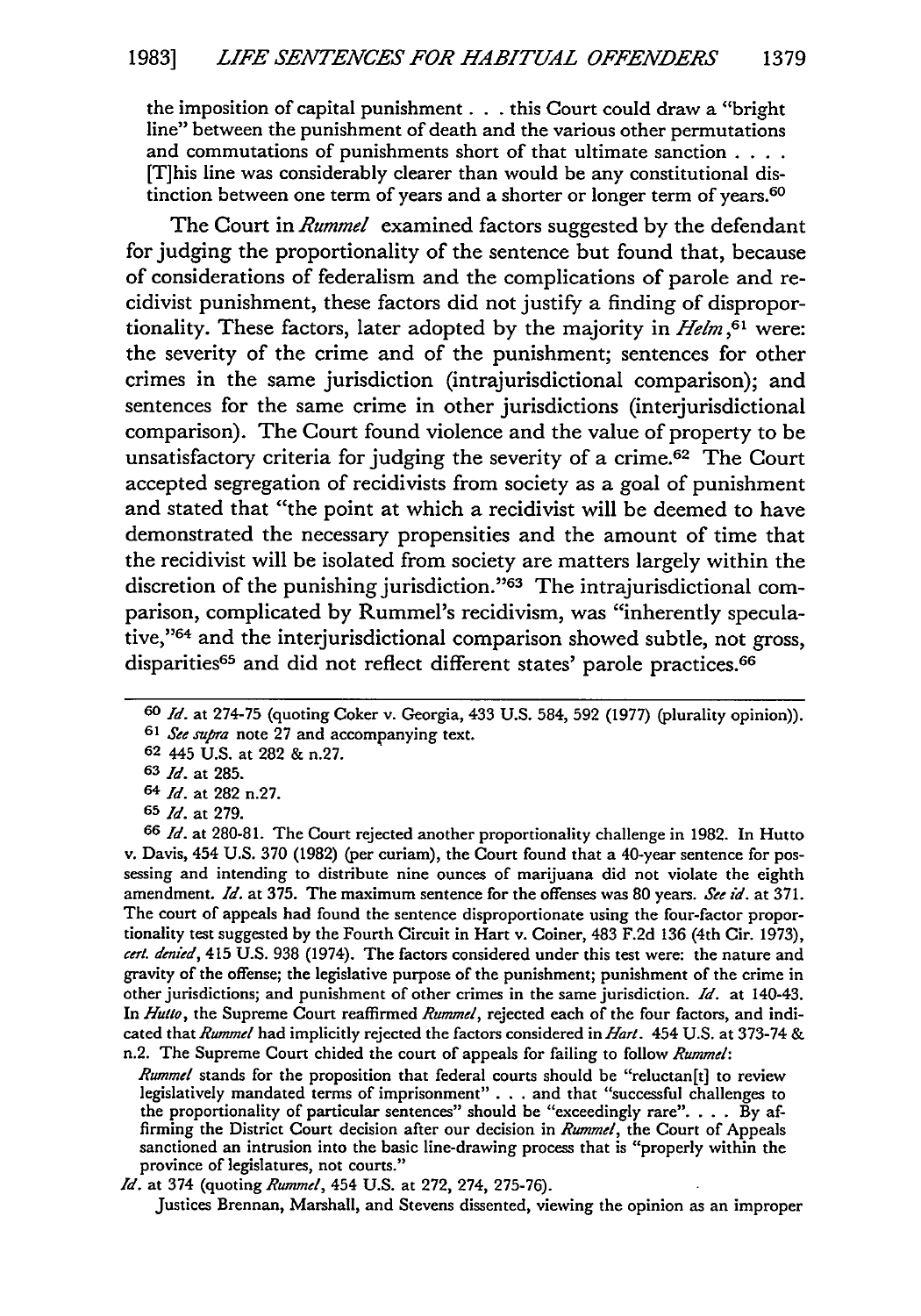the imposition of capital punishment. **. .** this Court could draw a "bright line" between the punishment of death and the various other permutations and commutations of punishments short of that ultimate sanction **....** [T]his line was considerably clearer than would be any constitutional distinction between one term of years and a shorter or longer term of years.<sup>60</sup>

The Court in *Rummel* examined factors suggested by the defendant for judging the proportionality of the sentence but found that, because of considerations of federalism and the complications of parole and recidivist punishment, these factors did not justify a finding of disproportionality. These factors, later adopted by the majority in *Helm,61* were: the severity of the crime and of the punishment; sentences for other crimes in the same jurisdiction (intrajurisdictional comparison); and sentences for the same crime in other jurisdictions (interjurisdictional comparison). The Court found violence and the value of property to be unsatisfactory criteria for judging the severity of a crime.62 The Court accepted segregation of recidivists from society as a goal of punishment and stated that "the point at which a recidivist will be deemed to have demonstrated the necessary propensities and the amount of time that the recidivist will be isolated from society are matters largely within the discretion of the punishing jurisdiction."<sup>63</sup> The intrajurisdictional comparison, complicated by Rummel's recidivism, was "inherently speculative,"'64 and the interjurisdictional comparison showed subtle, not gross, disparities<sup>65</sup> and did not reflect different states' parole practices.<sup>66</sup>

Justices Brennan, Marshall, and Stevens dissented, viewing the opinion as an improper

*<sup>60</sup> Id.* at 274-75 (quoting Coker v. Georgia, 433 **U.S.** 584, 592 (1977) (plurality opinion)).

**<sup>61</sup>** *See supra* note **27** and accompanying text.

**<sup>62</sup>** 445 **U.S.** at **282** & n.27.

**<sup>63</sup>** *Id.* at 285.

<sup>64</sup> *Id.* at 282 n.27.

**<sup>65</sup>** *Id.* at 279.

**<sup>66</sup>** *Id.* at 280-81. The Court rejected another proportionality challenge in 1982. In Hutto v. Davis, 454 U.S. 370 (1982) (per curiam), the Court found that a 40-year sentence for possessing and intending to distribute nine ounces of marijuana did not violate the eighth amendment. *Id.* at 375. The maximum sentence for the offenses was 80 years. *See id.* at 371. The court of appeals had found the sentence disproportionate using the four-factor proportionality test suggested by the Fourth Circuit in Hart v. Coiner, 483 F.2d 136 (4th Cir. 1973), *cert. denitd,* 415 U.S. 938 (1974). The factors considered under this test were: the nature and gravity of the offense; the legislative purpose of the punishment; punishment of the crime in other jurisdictions; and punishment of other crimes in the same jurisdiction. *Id.* at 140-43. In *Hutto,* the Supreme Court reaffirmed *Rummel,* rejected each of the four factors, and indicated that *Rummel* had implicitly rejected the factors considered in *Hart.* 454 U.S. at 373-74 & n.2. The Supreme Court chided the court of appeals for failing to follow *Rummel:*

*Rummel* stands for the proposition that federal courts should be "reluctan[t] to review legislatively mandated terms of imprisonment" **. . .** and that "successful challenges to the proportionality of particular sentences" should be "exceedingly rare". **. .** . By affirming the District Court decision after our decision in *Rummel,* the Court of Appeals sanctioned an intrusion into the basic line-drawing process that is "properly within the province of legislatures, not courts."

*Id.* at 374 (quoting *Rummel,* 454 U.S. at 272, 274, 275-76).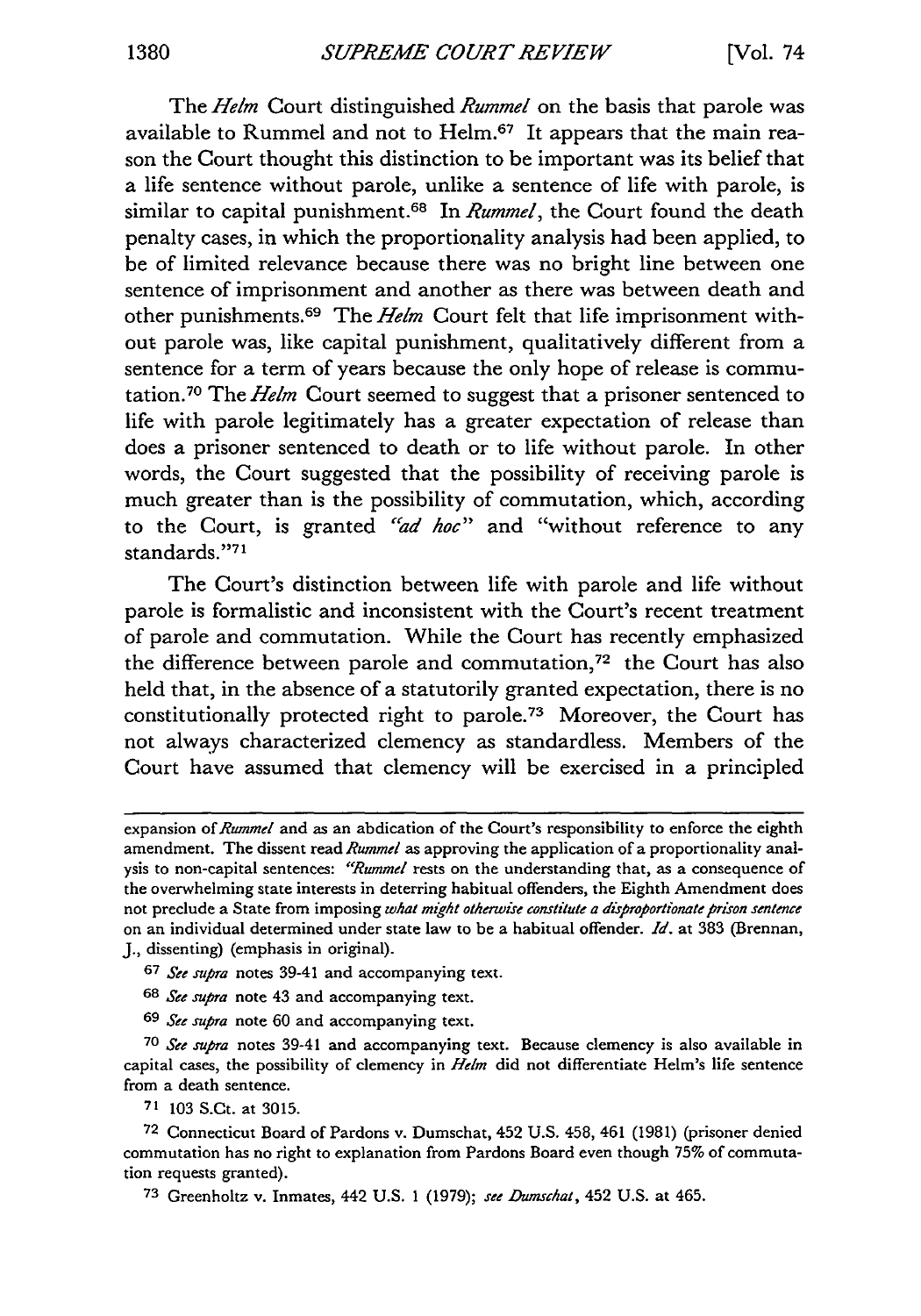The Helm Court distinguished *Rummel* on the basis that parole was available to Rummel and not to Helm.<sup>67</sup> It appears that the main reason the Court thought this distinction to be important was its belief that a life sentence without parole, unlike a sentence of life with parole, is similar to capital punishment.<sup>68</sup> In *Rummel*, the Court found the death penalty cases, in which the proportionality analysis had been applied, to be of limited relevance because there was no bright line between one sentence of imprisonment and another as there was between death and other punishments.<sup>69</sup> The Helm Court felt that life imprisonment without parole was, like capital punishment, qualitatively different from a sentence for a term of years because the only hope of release is commutation.<sup>70</sup> The Helm Court seemed to suggest that a prisoner sentenced to life with parole legitimately has a greater expectation of release than does a prisoner sentenced to death or to life without parole. In other words, the Court suggested that the possibility of receiving parole is much greater than is the possibility of commutation, which, according to the Court, is granted *"'ad hoe"* and "without reference to any standards."71

The Court's distinction between life with parole and life without parole is formalistic and inconsistent with the Court's recent treatment of parole and commutation. While the Court has recently emphasized the difference between parole and commutation,<sup>72</sup> the Court has also held that, in the absence of a statutorily granted expectation, there is no constitutionally protected right to parole.73 Moreover, the Court has not always characterized clemency as standardless. Members of the Court have assumed that clemency will be exercised in a principled

- **67** *See supra* notes 39-41 and accompanying text.
- **<sup>68</sup>***See supra* note 43 and accompanying text.
- **69** *See supra* note 60 and accompanying text.

70 *See supra* notes 39-41 and accompanying text. Because clemency is also available in capital cases, the possibility of clemency in  $Helm$  did not differentiate Helm's life sentence from a death sentence.

71 103 S.Ct. at 3015.

**72** Connecticut Board of Pardons v. Dumschat, 452 U.S. 458, 461 (1981) (prisoner denied commutation has no right to explanation from Pardons Board even though 75% of commutation requests granted).

**<sup>73</sup>**Greenholtz v. Inmates, 442 U.S. 1 (1979); *see Dumschat,* 452 U.S. at 465.

expansion of Rummel and as an abdication of the Court's responsibility to enforce the eighth amendment. The dissent read Rummel as approving the application of a proportionality analysis to non-capital sentences: *"Rummel* rests on the understanding that, as a consequence of the overwhelming state interests in deterring habitual offenders, the Eighth Amendment does not preclude a State from imposing *what mght otherwise constitute a disproportionate prison sentence* on an individual determined under state law to be a habitual offender. *Id.* at 383 (Brennan, J., dissenting) (emphasis in original).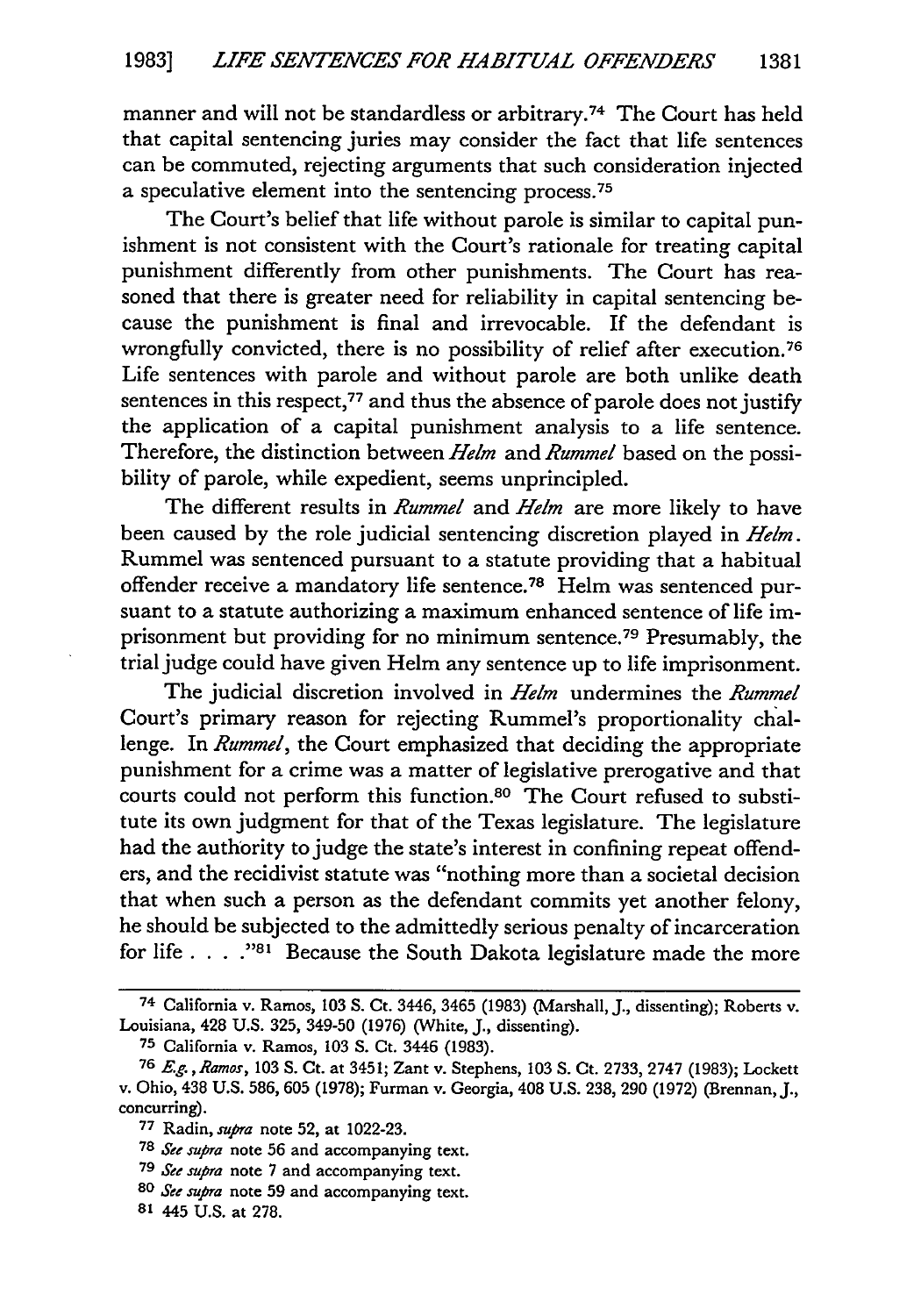manner and will not be standardless or arbitrary.74 The Court has held that capital sentencing juries may consider the fact that life sentences can be commuted, rejecting arguments that such consideration injected a speculative element into the sentencing process. <sup>75</sup>

The Court's belief that life without parole is similar to capital punishment is not consistent with the Court's rationale for treating capital punishment differently from other punishments. The Court has reasoned that there is greater need for reliability in capital sentencing because the punishment is final and irrevocable. If the defendant is wrongfully convicted, there is no possibility of relief after execution. <sup>76</sup> Life sentences with parole and without parole are both unlike death sentences in this respect,<sup>77</sup> and thus the absence of parole does not justify the application of a capital punishment analysis to a life sentence. Therefore, the distinction between Helm and *Rummel* based on the possibility of parole, while expedient, seems unprincipled.

The different results in *Rummel* and *Helm* are more likely to have been caused by the role judicial sentencing discretion played in Helm. Rummel was sentenced pursuant to a statute providing that a habitual offender receive a mandatory life sentence.<sup>78</sup> Helm was sentenced pursuant to a statute authorizing a maximum enhanced sentence of life imprisonment but providing for no minimum sentence.79 Presumably, the trial judge could have given Helm any sentence up to life imprisonment.

The judicial discretion involved in Helm undermines the *Rummel* Court's primary reason for rejecting Rummel's proportionality challenge. In Rummel, the Court emphasized that deciding the appropriate punishment for a crime was a matter of legislative prerogative and that courts could not perform this function.<sup>80</sup> The Court refused to substitute its own judgment for that of the Texas legislature. The legislature had the authority to judge the state's interest in confining repeat offenders, and the recidivist statute was "nothing more than a societal decision that when such a person as the defendant commits yet another felony, he should be subjected to the admittedly serious penalty of incarceration for life . . . .<sup>981</sup> Because the South Dakota legislature made the more

**<sup>74</sup>**California v. Ramos, **103** S. Ct. 3446, 3465 (1983) (Marshall, J., dissenting); Roberts v. Louisiana, 428 U.S. 325, 349-50 **(1976)** (White, J., dissenting).

**<sup>75</sup>** California v. Ramos, 103 S. Ct. 3446 (1983).

**<sup>76</sup>***Eg. ,Ramos,* 103 S. Ct. at 3451; Zant v. Stephens, 103 **S.** Ct. 2733, 2747 (1983); Lockett v. Ohio, 438 U.S. 586, 605 (1978); Furman v. Georgia, 408 U.S. 238, 290 (1972) (Brennan, J., concurring).

**<sup>77</sup>**Radin, *supra* note 52, at 1022-23.

**<sup>78</sup>** See *supra* note 56 and accompanying text.

**<sup>79</sup>**See *supra* note 7 and accompanying text.

*<sup>80</sup>* See *supra* note 59 and accompanying text.

**<sup>81</sup>** 445 U.S. at 278.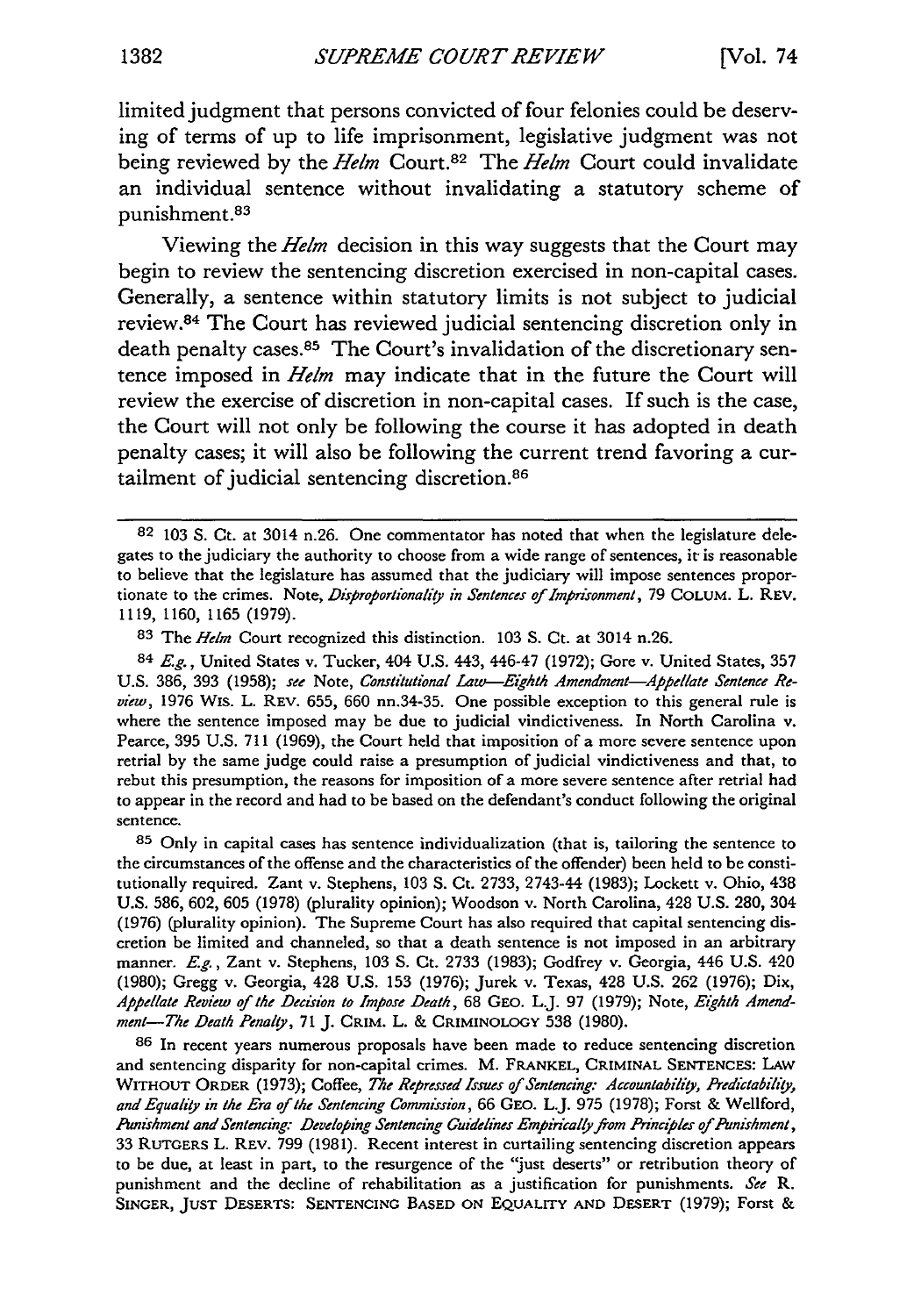limited judgment that persons convicted of four felonies could be deserving of terms of up to life imprisonment, legislative judgment was not being reviewed by the *Helm* Court.82 The *Helm* Court could invalidate an individual sentence without invalidating a statutory scheme of punishment.<sup>83</sup>

Viewing the *Helm* decision in this way suggests that the Court may begin to review the sentencing discretion exercised in non-capital cases. Generally, a sentence within statutory limits is not subject to judicial review.<sup>84</sup> The Court has reviewed judicial sentencing discretion only in death penalty cases.<sup>85</sup> The Court's invalidation of the discretionary sentence imposed in *Helm* may indicate that in the future the Court will review the exercise of discretion in non-capital cases. If such is the case, the Court will not only be following the course it has adopted in death penalty cases; it will also be following the current trend favoring a curtailment of judicial sentencing discretion.<sup>86</sup>

**84** *Eg.,* United States v. Tucker, 404 U.S. 443, 446-47 (1972); Gore v. United States, 357 U.S. 386, 393 (1958); *see* Note, *Constitutional Lau-Eighth Amendment-Appellate Sentence Review,* 1976 Wis. L. REV. 655, 660 nn.34-35. One possible exception to this general rule is where the sentence imposed may be due to judicial vindictiveness. In North Carolina v. Pearce, 395 U.S. 711 (1969), the Court held that imposition of a more severe sentence upon retrial by the same judge could raise a presumption of judicial vindictiveness and that, to rebut this presumption, the reasons for imposition of a more severe sentence after retrial had to appear in the record and had to be based on the defendant's conduct following the original sentence.

**85** Only in capital cases has sentence individualization (that is, tailoring the sentence to the circumstances of the offense and the characteristics of the offender) been held to be constitutionally required. Zant v. Stephens, 103 **S.** Ct. 2733, 2743-44 (1983); Lockett v. Ohio, 438 U.S. 586, 602, 605 (1978) (plurality opinion); Woodson v. North Carolina, 428 U.S. 280, 304 (1976) (plurality opinion). The Supreme Court has also required that capital sentencing discretion be limited and channeled, so that a death sentence is not imposed in an arbitrary manner. E.g., Zant v. Stephens, 103 **S.** Ct. 2733 (1983); Godfrey v. Georgia, 446 U.S. 420 (1980); Gregg v. Georgia, 428 U.S. **153** (1976); Jurek v. Texas, 428 U.S. 262 (1976); Dix, *Appellate Review of the Decision to Impose Death,* 68 **GEO.** L.J. 97 **(1979);** Note, *Eighth Amendment-The Death Penalty,* **71** J. **CRIM.** L. & CRIMINOLOGY 538 (1980).

**86** In recent years numerous proposals have been made to reduce sentencing discretion and sentencing disparity for non-capital crimes. M. FRANKEL, CRIMINAL **SENTENCES:** LAW WITHOUT ORDER (1973); Coffee, *The Repressed Issues of Sentencing: Accountability, Predictability, and Equality in the Era of the Sentencing Commission,* 66 **GEO.** L.J. 975 (1978); Forst & Wellford, *Punishment and Sentencing: Developing Sentencing Guidelines EmpiricalJyfom Principles of Punishment,* 33 RUTGERS L. REV. 799 (1981). Recent interest in curtailing sentencing discretion appears **to** be due, at least in part, to the resurgence of the "just deserts" or retribution theory of punishment and the decline of rehabilitation as a justification for punishments. *See R.* **SINGER,** JUST **DESERTS: SENTENCING BASED ON** EQUALITY **AND** DESERT **(1979);** Forst &

**<sup>82</sup>** 103 S. Ct. at 3014 n.26. One commentator has noted that when the legislature delegates to the judiciary the authority to choose from a wide range of sentences, it is reasonable to believe that the legislature has assumed that the judiciary will impose sentences proportionate to the crimes. Note, *Disproportionality in Sentences of Imprisomnent,* 79 COLUM. L. REV. 1119, 1160, 1165 (1979).

**<sup>83</sup>** The *Helm* Court recognized this distinction. 103 S. Ct. at 3014 n.26.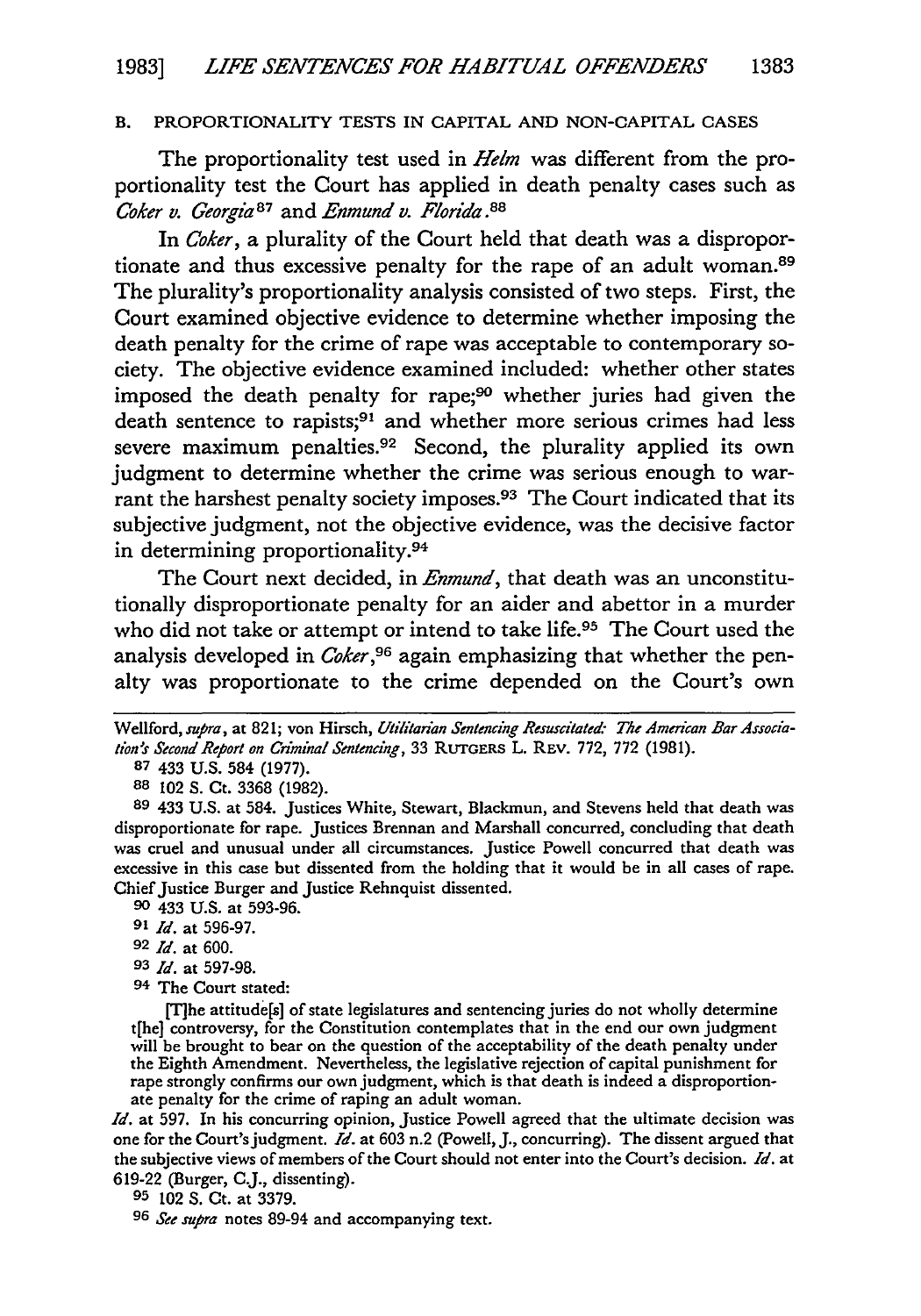#### B. PROPORTIONALITY TESTS IN CAPITAL AND NON-CAPITAL CASES

The proportionality test used in *Helm* was different from the proportionality test the Court has applied in death penalty cases such as *Coker v. Georgia87* and *Enmund v. Florida.88*

In *Coker,* a plurality of the Court held that death was a disproportionate and thus excessive penalty for the rape of an adult woman.<sup>89</sup> The plurality's proportionality analysis consisted of two steps. First, the Court examined objective evidence to determine whether imposing the death penalty for the crime of rape was acceptable to contemporary society. The objective evidence examined included: whether other states imposed the death penalty for rape;<sup>90</sup> whether juries had given the death sentence to rapists;<sup>91</sup> and whether more serious crimes had less severe maximum penalties.<sup>92</sup> Second, the plurality applied its own judgment to determine whether the crime was serious enough to warrant the harshest penalty society imposes.<sup>93</sup> The Court indicated that its subjective judgment, not the objective evidence, was the decisive factor in determining proportionality.<sup>94</sup>

The Court next decided, in *Enmund,* that death was an unconstitutionally disproportionate penalty for an aider and abettor in a murder who did not take or attempt or intend to take life.95 The Court used the analysis developed in *Coker,96* again emphasizing that whether the penalty was proportionate to the crime depended on the Court's own

**88** 102 S. Ct. 3368 (1982).

**90** 433 U.S. at 593-96.

- **93** *Id.* at **597-98.**
- **94** The Court stated:

[T1he attitude[s] of state legislatures and sentencing juries do not wholly determine t[he] controversy, for the Constitution contemplates that in the end our own judgment will be brought to bear on the question of the acceptability of the death penalty under the Eighth Amendment. Nevertheless, the legislative rejection of capital punishment for rape strongly confirms our own judgment, which is that death is indeed a disproportionate penalty for the crime of raping an adult woman.

*Id.* at 597. In his concurring opinion, Justice Powell agreed that the ultimate decision was one for the Court's judgment. *Id.* at **603** n.2 (Powell, J., concurring). The dissent argued that the subjective views of members of the Court should not enter into the Court's decision. *Id.* at 619-22 (Burger, CJ., dissenting).

**95** 102 **S.** Ct. at 3379.

**96** *See supra* notes 89-94 and accompanying text.

Wellford, supra, at 821; von Hirsch, Utilitarian Sentencing Resuscitated: The American Bar Associa*tion5s Second Report on Criminal Sentencing,* **33 RUTGERS** L. REV. 772, 772 (1981).

**<sup>87</sup>** 433 **U.S.** 584 (1977).

**<sup>89</sup>** 433 U.S. at 584. Justices White, Stewart, Blackmun, and Stevens held that death was disproportionate for rape. Justices Brennan and Marshall concurred, concluding that death was cruel and unusual under all circumstances. Justice Powell concurred that death was excessive in this case but dissented from the holding that it would be in all cases of rape. Chief Justice Burger and Justice Rehnquist dissented.

*<sup>91</sup> Id.* at 596-97.

**<sup>92</sup>** *Id.* at **600.**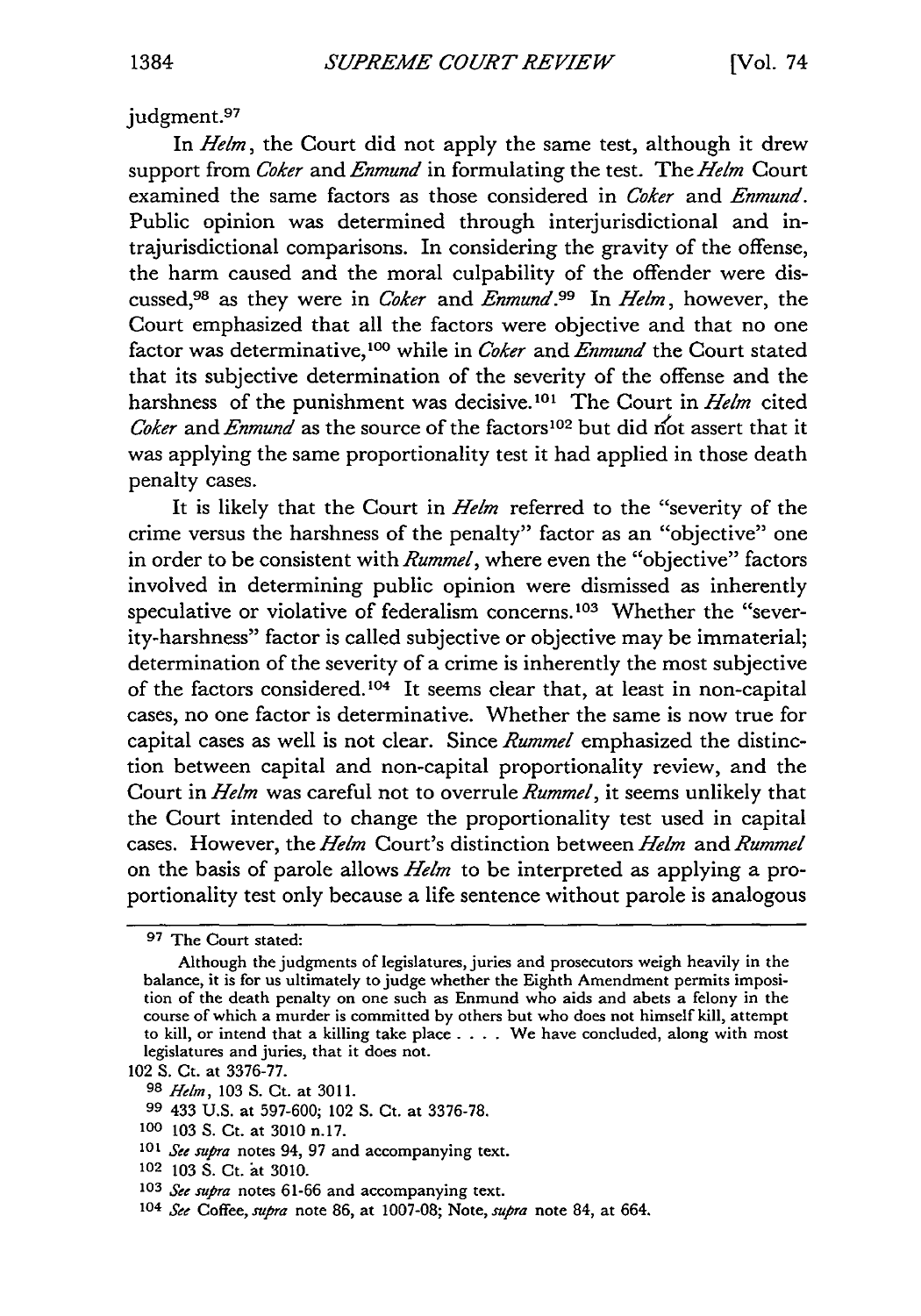judgment.<sup>97</sup>

In *Helm,* the Court did not apply the same test, although it drew support from *Coker* and *Enmund* in formulating the test. The *Helm* Court examined the same factors as those considered in *Coker* and *Enmund.* Public opinion was determined through interjurisdictional and intrajurisdictional comparisons. In considering the gravity of the offense, the harm caused and the moral culpability of the offender were discussed,98 as they were in *Coker* and *Enmund.99* In *Helm,* however, the Court emphasized that all the factors were objective and that no one factor was determinative,<sup>100</sup> while in *Coker* and *Enmund* the Court stated that its subjective determination of the severity of the offense and the harshness of the punishment was decisive.<sup>101</sup> The Court in *Helm* cited *Coker* and *Enmund* as the source of the factors<sup>102</sup> but did not assert that it was applying the same proportionality test it had applied in those death penalty cases.

It is likely that the Court in *Helm* referred to the "severity of the crime versus the harshness of the penalty" factor as an "objective" one in order to be consistent with *Rummel,* where even the "objective" factors involved in determining public opinion were dismissed as inherently speculative or violative of federalism concerns.<sup>103</sup> Whether the "severity-harshness" factor is called subjective or objective may be immaterial; determination of the severity of a crime is inherently the most subjective of the factors considered.<sup>104</sup> It seems clear that, at least in non-capital cases, no one factor is determinative. Whether the same is now true for capital cases as well is not clear. Since *Rummel* emphasized the distinction between capital and non-capital proportionality review, and the Court in *Helm* was careful not to overrule *Rummel,* it seems unlikely that the Court intended to change the proportionality test used in capital cases. However, the *Helm* Court's distinction between *Helm* and *Rummel* on the basis of parole allows *Helm* to be interpreted as applying a proportionality test only because a life sentence without parole is analogous

**<sup>97</sup>** The Court stated:

Although the judgments of legislatures, juries and prosecutors weigh heavily in the balance, it is for us ultimately to judge whether the Eighth Amendment permits imposition of the death penalty on one such as Enmund who aids and abets a felony in the course of which a murder is committed by others but who does not himself kill, attempt to kill, or intend that a killing take place. . **.** . We have concluded, along with most legislatures and juries, that it does not.

<sup>102</sup> S. Ct. at 3376-77.

**<sup>98</sup>** *Helm,* 103 S. Ct. at 3011.

**<sup>99</sup>** 433 U.S. at 597-600; 102 S. Ct. at 3376-78.

**<sup>100</sup>** 103 S. Ct. at 3010 n.17.

<sup>101</sup> See supra notes 94, 97 and accompanying text.

**<sup>102</sup>** 103 S. Ct. at 3010.

**<sup>103</sup>** *See supra* notes 61-66 and accompanying text.

**<sup>104</sup>** *See* Coffee, *supra* note 86, at 1007-08; Note, *supra* note 84, at 664.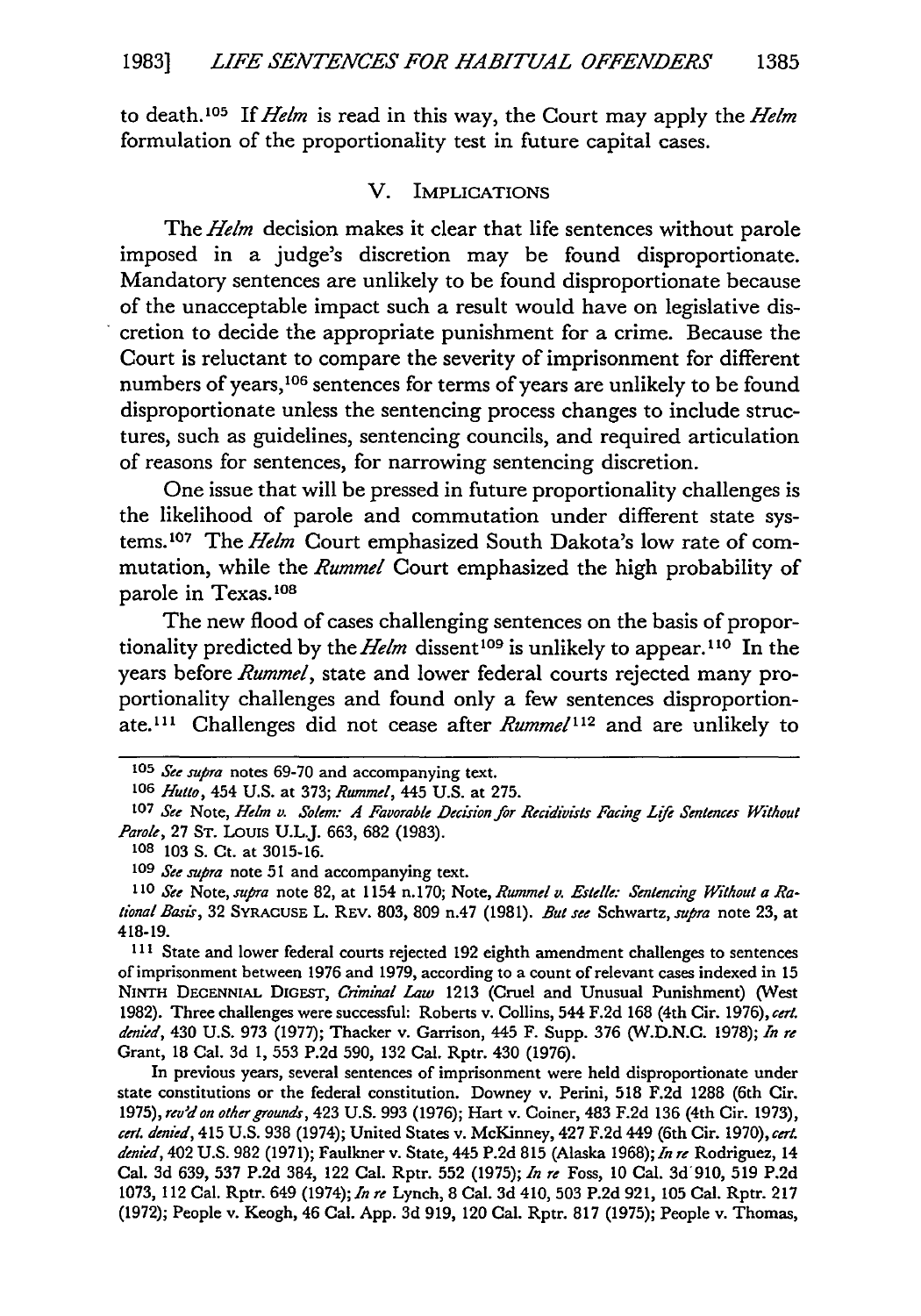to death.10 <sup>5</sup>*If Helm* is read in this way, the Court may apply the *Helm* formulation of the proportionality test in future capital cases.

#### V. IMPLICATIONS

The *Helm* decision makes it clear that life sentences without parole imposed in a judge's discretion may be found disproportionate. Mandatory sentences are unlikely to be found disproportionate because of the unacceptable impact such a result would have on legislative discretion to decide the appropriate punishment for a crime. Because the Court is reluctant to compare the severity of imprisonment for different numbers of years,<sup>106</sup> sentences for terms of years are unlikely to be found disproportionate unless the sentencing process changes to include structures, such as guidelines, sentencing councils, and required articulation of reasons for sentences, for narrowing sentencing discretion.

One issue that will be pressed in future proportionality challenges is the likelihood of parole and commutation under different state systems.<sup>107</sup> The *Helm* Court emphasized South Dakota's low rate of commutation, while the *Rummel* Court emphasized the high probability of parole in Texas.<sup>108</sup>

The new flood of cases challenging sentences on the basis of proportionality predicted by the *Helm* dissent 109 is unlikely to appear. **1o** In the years before *Rummel,* state and lower federal courts rejected many proportionality challenges and found only a few sentences disproportionate.<sup>111</sup> Challenges did not cease after *Rummel*<sup>112</sup> and are unlikely to

**<sup>111</sup>**State and lower federal courts rejected 192 eighth amendment challenges to sentences of imprisonment between 1976 and 1979, according to a count of relevant cases indexed in 15 **NINTH DECENNIAL** DIGEST, *Criminal Law* 1213 (Cruel and Unusual Punishment) (West 1982). Three challenges were successful: Roberts v. Collins, 544 F.2d 168 (4th Cir. 1976), *cert. denied,* 430 U.S. **973** (1977); Thacker v. Garrison, 445 F. Supp. 376 (W.D.N.C. 1978); *In re* Grant, 18 Cal. **3d 1,** 553 P.2d 590, 132 Cal. Rptr. 430 (1976).

In previous years, several sentences of imprisonment were held disproportionate under state constitutions or the federal constitution. Downey v. Perini, 518 F.2d 1288 (6th Cir. *1975), rev'don other grounds,* 423 U.S. 993 (1976); Hart v. Coiner, 483 F.2d 136 (4th Cir. 1973), *cert. denied,* 415 U.S. 938 (1974); United States v. McKinney, 427 F.2d 449 (6th Cir. 1970), *cert. denied,* 402 U.S. 982 (1971); Faulkner v. State, 445 P.2d 815 (Alaska 1968); *In re* Rodriguez, 14 Cal. 3d 639, **537** P.2d 384, 122 Cal. Rptr. 552 (1975); *In re* Foss, **10** Cal. 3d'910, 519 P.2d 1073, 112 Cal. Rptr. 649 (1974); *In re* Lynch, 8 Cal. 3d 410, **503** P.2d 921, 105 Cal. Rptr. 217 (1972); People v. Keogh, 46 Cal. App. 3d 919, 120 Cal. Rptr. **817** (1975); People v. Thomas,

*<sup>105</sup> See supra* notes 69-70 and accompanying text.

**<sup>106</sup>** *Hutto,* 454 **U.S.** at 373; *Rummel,* 445 U.S. at 275.

**<sup>107</sup>** *See* Note, *Helm v. Solem. A Favorable Decision for Recidivists Facing Life Sentences Without Parole,* **27 ST.** LOUIS U.L.J. 663, 682 (1983).

**<sup>108</sup>** 103 S. Ct. at 3015-16.

**<sup>109</sup>** *See supra* note 51 and accompanying text.

*<sup>110</sup> See* Note, *supra* note 82, at 1154 n. 170; Note, *Rummel v. Estelle: Sentencing Without a Rational Basir,* 32 **SYRACUSE** L. REv. 803, 809 n.47 (1981). *But see* Schwartz, *supra* note 23, at 418-19.